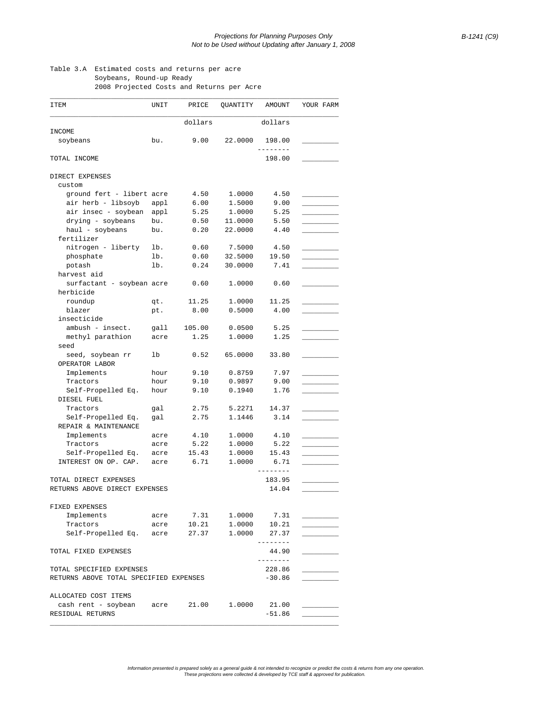## Table 3.A Estimated costs and returns per acre Soybeans, Round-up Ready

2008 Projected Costs and Returns per Acre

| ITEM                                        | UNIT   | PRICE                 | QUANTITY               | AMOUNT            | YOUR FARM |  |
|---------------------------------------------|--------|-----------------------|------------------------|-------------------|-----------|--|
|                                             |        | dollars               |                        | dollars           |           |  |
| INCOME                                      |        |                       |                        |                   |           |  |
| soybeans                                    | bu.    | 9.00                  | 22.0000                | 198.00            |           |  |
| TOTAL INCOME                                |        |                       |                        | 198.00            |           |  |
| DIRECT EXPENSES                             |        |                       |                        |                   |           |  |
| custom                                      |        |                       |                        |                   |           |  |
| ground fert - libert acre                   |        | 4.50                  | 1.0000                 | 4.50              |           |  |
| air herb - libsoyb                          | appl   | 6.00                  | 1.5000                 | 9.00              |           |  |
| air insec - soybean appl                    |        | 5.25                  | 1.0000                 | 5.25              |           |  |
| drying - soybeans                           | bu.    | 0.50                  | 11.0000                | 5.50              |           |  |
| haul - soybeans                             | bu.    | 0.20                  | 22.0000                | 4.40              |           |  |
| fertilizer                                  |        |                       |                        |                   |           |  |
| nitrogen - liberty lb.                      |        | 0.60                  | 7.5000                 | 4.50              |           |  |
| phosphate                                   | $1b$ . | 0.60                  | 32.5000                | 19.50             |           |  |
| potash                                      | lb.    | 0.24                  | 30.0000                | 7.41              |           |  |
| harvest aid                                 |        |                       |                        |                   |           |  |
| surfactant - soybean acre                   |        | 0.60                  | 1.0000                 | 0.60              |           |  |
| herbicide                                   |        |                       |                        |                   |           |  |
| roundup                                     | qt.    | 11.25                 | 1,0000                 | 11.25             |           |  |
| blazer                                      | pt.    | 8.00                  | 0.5000                 | 4.00              |           |  |
| insecticide                                 |        |                       |                        |                   |           |  |
| $ambush - insect.$                          | qall   | 105.00                | 0.0500                 | 5.25              |           |  |
| methyl parathion                            | acre   | 1.25                  | 1,0000                 | 1.25              |           |  |
| seed                                        |        |                       |                        |                   |           |  |
| seed, soybean rr                            | lb     | 0.52                  | 65.0000                | 33.80             |           |  |
| OPERATOR LABOR                              |        |                       |                        |                   |           |  |
| Implements                                  | hour   | 9.10                  | 0.8759                 | 7.97              |           |  |
| Tractors                                    | hour   | 9.10                  | 0.9897                 | 9.00              |           |  |
| Self-Propelled Eq.                          | hour   | 9.10                  | 0.1940                 | 1.76              |           |  |
| DIESEL FUEL                                 |        |                       |                        |                   |           |  |
| Tractors                                    | gal    | 2.75                  | 5.2271                 | 14.37             |           |  |
| Self-Propelled Eq.                          | gal    | 2.75                  | 1.1446                 | 3.14              |           |  |
| REPAIR & MAINTENANCE                        |        |                       |                        |                   |           |  |
| Implements                                  | acre   | 4.10                  | 1,0000                 | 4.10              |           |  |
| Tractors                                    | acre   | 5.22                  | 1,0000                 | 5.22              |           |  |
| Self-Propelled Eq.                          | acre   | 15.43                 | 1,0000                 | 15.43             |           |  |
| INTEREST ON OP. CAP.                        | acre   | 6.71                  | 1.0000                 | 6.71              |           |  |
|                                             |        |                       |                        | ------            |           |  |
| TOTAL DIRECT EXPENSES                       |        |                       |                        | 183.95            |           |  |
| RETURNS ABOVE DIRECT EXPENSES               |        |                       |                        | 14.04             |           |  |
|                                             |        |                       |                        |                   |           |  |
| FIXED EXPENSES                              |        |                       |                        |                   |           |  |
| Implements                                  |        | acre 7.31 1.0000 7.31 |                        |                   |           |  |
| Tractors                                    | acre   | 10.21                 |                        |                   |           |  |
| Self-Propelled Eq. acre 27.37               |        |                       | 1.0000 10.21<br>1.0000 | 27.37             |           |  |
|                                             |        |                       |                        | --------          |           |  |
| TOTAL FIXED EXPENSES                        |        |                       |                        | 44.90<br>-------- |           |  |
|                                             |        |                       |                        |                   |           |  |
| TOTAL SPECIFIED EXPENSES                    |        |                       |                        | 228.86            |           |  |
| RETURNS ABOVE TOTAL SPECIFIED EXPENSES      |        |                       |                        | $-30.86$          |           |  |
|                                             |        |                       |                        |                   |           |  |
| ALLOCATED COST ITEMS                        |        |                       |                        |                   |           |  |
| cash rent - soybean acre 21.00 1.0000 21.00 |        |                       |                        |                   |           |  |
| RESIDUAL RETURNS                            |        |                       |                        | $-51.86$          |           |  |

Information presented is prepared solely as a general guide & not intended to recognize or predict the costs & returns from any one operation.<br>These projections were collected & developed by TCE staff & approved for public